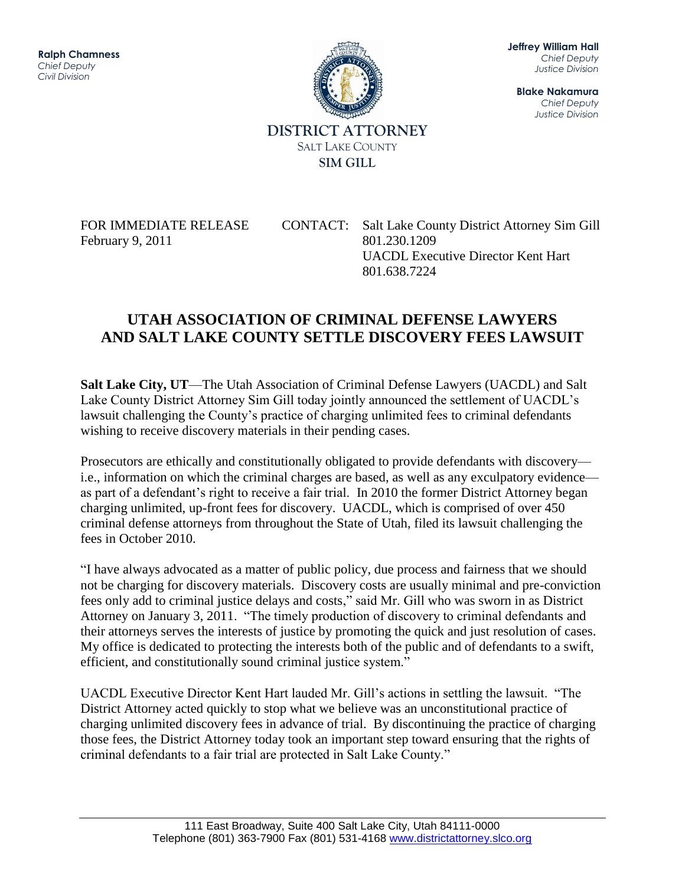11111000<br>hz Jeffrey W. Hall **Ralph Chamness**  *Chief Deputy Civil Division*



**Jeffrey William Hall** *Chief Deputy Justice Division*

**Blake Nakamura** *Chief Deputy Justice Division*

February 9, 2011 801.230.1209

FOR IMMEDIATE RELEASE CONTACT: Salt Lake County District Attorney Sim Gill UACDL Executive Director Kent Hart 801.638.7224

## **UTAH ASSOCIATION OF CRIMINAL DEFENSE LAWYERS AND SALT LAKE COUNTY SETTLE DISCOVERY FEES LAWSUIT**

**Salt Lake City, UT**—The Utah Association of Criminal Defense Lawyers (UACDL) and Salt Lake County District Attorney Sim Gill today jointly announced the settlement of UACDL's lawsuit challenging the County's practice of charging unlimited fees to criminal defendants wishing to receive discovery materials in their pending cases.

Prosecutors are ethically and constitutionally obligated to provide defendants with discovery i.e., information on which the criminal charges are based, as well as any exculpatory evidence as part of a defendant's right to receive a fair trial. In 2010 the former District Attorney began charging unlimited, up-front fees for discovery. UACDL, which is comprised of over 450 criminal defense attorneys from throughout the State of Utah, filed its lawsuit challenging the fees in October 2010.

"I have always advocated as a matter of public policy, due process and fairness that we should not be charging for discovery materials. Discovery costs are usually minimal and pre-conviction fees only add to criminal justice delays and costs," said Mr. Gill who was sworn in as District Attorney on January 3, 2011. "The timely production of discovery to criminal defendants and their attorneys serves the interests of justice by promoting the quick and just resolution of cases. My office is dedicated to protecting the interests both of the public and of defendants to a swift, efficient, and constitutionally sound criminal justice system."

UACDL Executive Director Kent Hart lauded Mr. Gill's actions in settling the lawsuit. "The District Attorney acted quickly to stop what we believe was an unconstitutional practice of charging unlimited discovery fees in advance of trial. By discontinuing the practice of charging those fees, the District Attorney today took an important step toward ensuring that the rights of criminal defendants to a fair trial are protected in Salt Lake County."